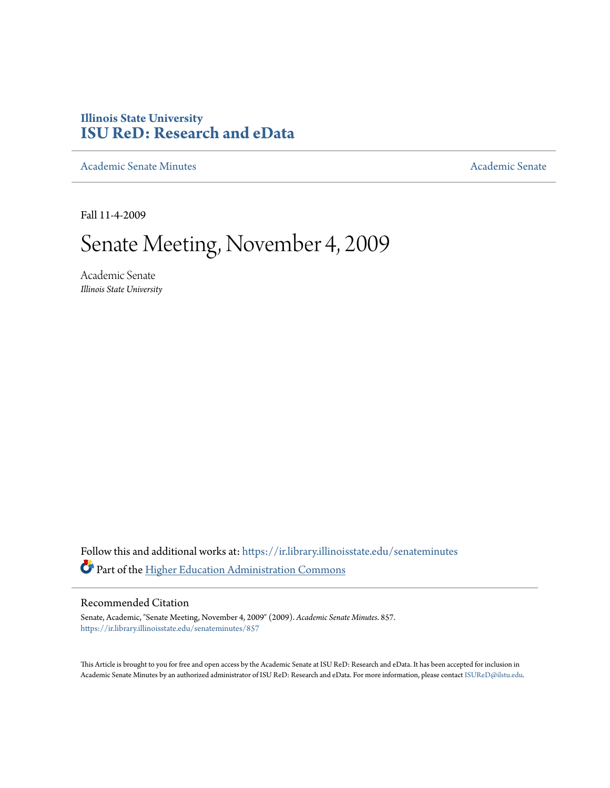# **Illinois State University [ISU ReD: Research and eData](https://ir.library.illinoisstate.edu?utm_source=ir.library.illinoisstate.edu%2Fsenateminutes%2F857&utm_medium=PDF&utm_campaign=PDFCoverPages)**

[Academic Senate Minutes](https://ir.library.illinoisstate.edu/senateminutes?utm_source=ir.library.illinoisstate.edu%2Fsenateminutes%2F857&utm_medium=PDF&utm_campaign=PDFCoverPages) [Academic Senate](https://ir.library.illinoisstate.edu/senate?utm_source=ir.library.illinoisstate.edu%2Fsenateminutes%2F857&utm_medium=PDF&utm_campaign=PDFCoverPages) Academic Senate

Fall 11-4-2009

# Senate Meeting, November 4, 2009

Academic Senate *Illinois State University*

Follow this and additional works at: [https://ir.library.illinoisstate.edu/senateminutes](https://ir.library.illinoisstate.edu/senateminutes?utm_source=ir.library.illinoisstate.edu%2Fsenateminutes%2F857&utm_medium=PDF&utm_campaign=PDFCoverPages) Part of the [Higher Education Administration Commons](http://network.bepress.com/hgg/discipline/791?utm_source=ir.library.illinoisstate.edu%2Fsenateminutes%2F857&utm_medium=PDF&utm_campaign=PDFCoverPages)

#### Recommended Citation

Senate, Academic, "Senate Meeting, November 4, 2009" (2009). *Academic Senate Minutes*. 857. [https://ir.library.illinoisstate.edu/senateminutes/857](https://ir.library.illinoisstate.edu/senateminutes/857?utm_source=ir.library.illinoisstate.edu%2Fsenateminutes%2F857&utm_medium=PDF&utm_campaign=PDFCoverPages)

This Article is brought to you for free and open access by the Academic Senate at ISU ReD: Research and eData. It has been accepted for inclusion in Academic Senate Minutes by an authorized administrator of ISU ReD: Research and eData. For more information, please contact [ISUReD@ilstu.edu.](mailto:ISUReD@ilstu.edu)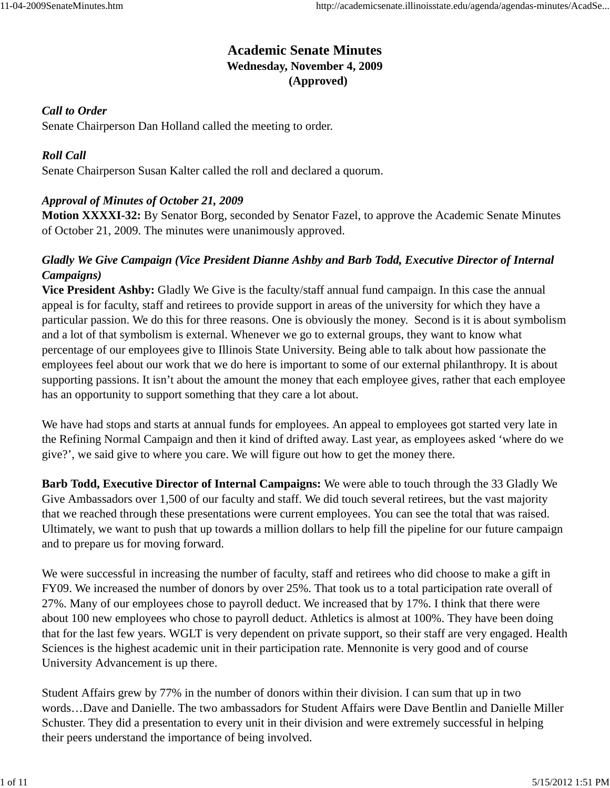# **Academic Senate Minutes Wednesday, November 4, 2009 (Approved)**

# *Call to Order*

Senate Chairperson Dan Holland called the meeting to order.

## *Roll Call*

Senate Chairperson Susan Kalter called the roll and declared a quorum.

## *Approval of Minutes of October 21, 2009*

**Motion XXXXI-32:** By Senator Borg, seconded by Senator Fazel, to approve the Academic Senate Minutes of October 21, 2009. The minutes were unanimously approved.

# *Gladly We Give Campaign (Vice President Dianne Ashby and Barb Todd, Executive Director of Internal Campaigns)*

**Vice President Ashby:** Gladly We Give is the faculty/staff annual fund campaign. In this case the annual appeal is for faculty, staff and retirees to provide support in areas of the university for which they have a particular passion. We do this for three reasons. One is obviously the money. Second is it is about symbolism and a lot of that symbolism is external. Whenever we go to external groups, they want to know what percentage of our employees give to Illinois State University. Being able to talk about how passionate the employees feel about our work that we do here is important to some of our external philanthropy. It is about supporting passions. It isn't about the amount the money that each employee gives, rather that each employee has an opportunity to support something that they care a lot about.

We have had stops and starts at annual funds for employees. An appeal to employees got started very late in the Refining Normal Campaign and then it kind of drifted away. Last year, as employees asked 'where do we give?', we said give to where you care. We will figure out how to get the money there.

**Barb Todd, Executive Director of Internal Campaigns:** We were able to touch through the 33 Gladly We Give Ambassadors over 1,500 of our faculty and staff. We did touch several retirees, but the vast majority that we reached through these presentations were current employees. You can see the total that was raised. Ultimately, we want to push that up towards a million dollars to help fill the pipeline for our future campaign and to prepare us for moving forward.

We were successful in increasing the number of faculty, staff and retirees who did choose to make a gift in FY09. We increased the number of donors by over 25%. That took us to a total participation rate overall of 27%. Many of our employees chose to payroll deduct. We increased that by 17%. I think that there were about 100 new employees who chose to payroll deduct. Athletics is almost at 100%. They have been doing that for the last few years. WGLT is very dependent on private support, so their staff are very engaged. Health Sciences is the highest academic unit in their participation rate. Mennonite is very good and of course University Advancement is up there.

Student Affairs grew by 77% in the number of donors within their division. I can sum that up in two words…Dave and Danielle. The two ambassadors for Student Affairs were Dave Bentlin and Danielle Miller Schuster. They did a presentation to every unit in their division and were extremely successful in helping their peers understand the importance of being involved.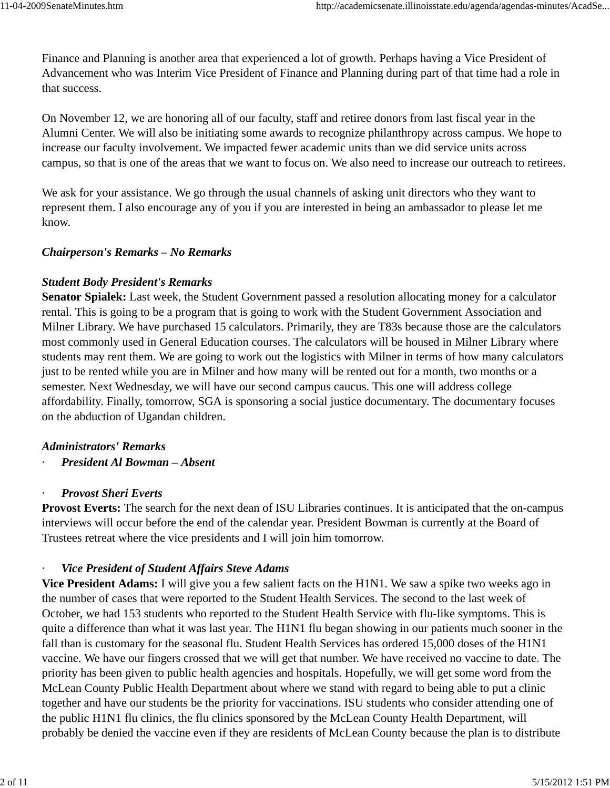Finance and Planning is another area that experienced a lot of growth. Perhaps having a Vice President of Advancement who was Interim Vice President of Finance and Planning during part of that time had a role in that success.

On November 12, we are honoring all of our faculty, staff and retiree donors from last fiscal year in the Alumni Center. We will also be initiating some awards to recognize philanthropy across campus. We hope to increase our faculty involvement. We impacted fewer academic units than we did service units across campus, so that is one of the areas that we want to focus on. We also need to increase our outreach to retirees.

We ask for your assistance. We go through the usual channels of asking unit directors who they want to represent them. I also encourage any of you if you are interested in being an ambassador to please let me know.

## *Chairperson's Remarks – No Remarks*

# *Student Body President's Remarks*

**Senator Spialek:** Last week, the Student Government passed a resolution allocating money for a calculator rental. This is going to be a program that is going to work with the Student Government Association and Milner Library. We have purchased 15 calculators. Primarily, they are T83s because those are the calculators most commonly used in General Education courses. The calculators will be housed in Milner Library where students may rent them. We are going to work out the logistics with Milner in terms of how many calculators just to be rented while you are in Milner and how many will be rented out for a month, two months or a semester. Next Wednesday, we will have our second campus caucus. This one will address college affordability. Finally, tomorrow, SGA is sponsoring a social justice documentary. The documentary focuses on the abduction of Ugandan children.

# *Administrators' Remarks*

· *President Al Bowman – Absent*

#### · *Provost Sheri Everts*

**Provost Everts:** The search for the next dean of ISU Libraries continues. It is anticipated that the on-campus interviews will occur before the end of the calendar year. President Bowman is currently at the Board of Trustees retreat where the vice presidents and I will join him tomorrow.

# **Vice President of Student Affairs Steve Adams**

**Vice President Adams:** I will give you a few salient facts on the H1N1. We saw a spike two weeks ago in the number of cases that were reported to the Student Health Services. The second to the last week of October, we had 153 students who reported to the Student Health Service with flu-like symptoms. This is quite a difference than what it was last year. The H1N1 flu began showing in our patients much sooner in the fall than is customary for the seasonal flu. Student Health Services has ordered 15,000 doses of the H1N1 vaccine. We have our fingers crossed that we will get that number. We have received no vaccine to date. The priority has been given to public health agencies and hospitals. Hopefully, we will get some word from the McLean County Public Health Department about where we stand with regard to being able to put a clinic together and have our students be the priority for vaccinations. ISU students who consider attending one of the public H1N1 flu clinics, the flu clinics sponsored by the McLean County Health Department, will probably be denied the vaccine even if they are residents of McLean County because the plan is to distribute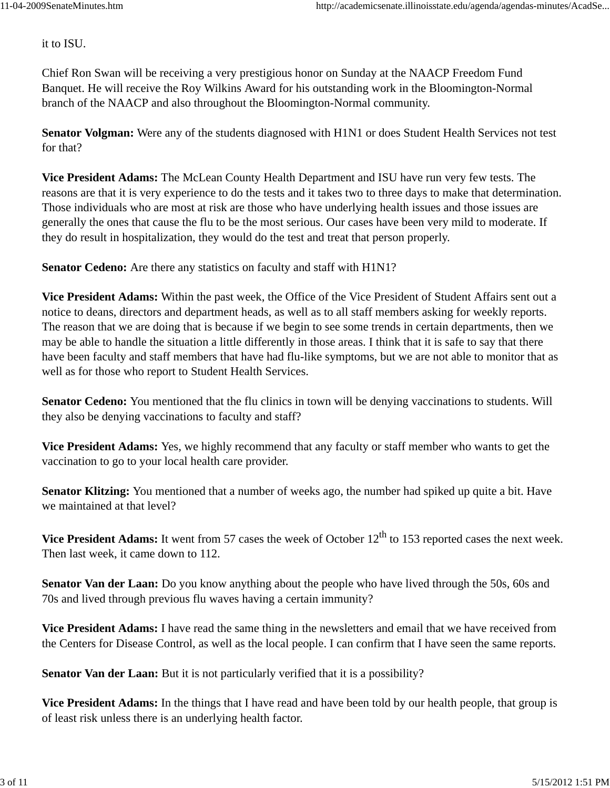it to ISU.

Chief Ron Swan will be receiving a very prestigious honor on Sunday at the NAACP Freedom Fund Banquet. He will receive the Roy Wilkins Award for his outstanding work in the Bloomington-Normal branch of the NAACP and also throughout the Bloomington-Normal community.

**Senator Volgman:** Were any of the students diagnosed with H1N1 or does Student Health Services not test for that?

**Vice President Adams:** The McLean County Health Department and ISU have run very few tests. The reasons are that it is very experience to do the tests and it takes two to three days to make that determination. Those individuals who are most at risk are those who have underlying health issues and those issues are generally the ones that cause the flu to be the most serious. Our cases have been very mild to moderate. If they do result in hospitalization, they would do the test and treat that person properly.

**Senator Cedeno:** Are there any statistics on faculty and staff with H1N1?

**Vice President Adams:** Within the past week, the Office of the Vice President of Student Affairs sent out a notice to deans, directors and department heads, as well as to all staff members asking for weekly reports. The reason that we are doing that is because if we begin to see some trends in certain departments, then we may be able to handle the situation a little differently in those areas. I think that it is safe to say that there have been faculty and staff members that have had flu-like symptoms, but we are not able to monitor that as well as for those who report to Student Health Services.

**Senator Cedeno:** You mentioned that the flu clinics in town will be denying vaccinations to students. Will they also be denying vaccinations to faculty and staff?

**Vice President Adams:** Yes, we highly recommend that any faculty or staff member who wants to get the vaccination to go to your local health care provider.

**Senator Klitzing:** You mentioned that a number of weeks ago, the number had spiked up quite a bit. Have we maintained at that level?

**Vice President Adams:** It went from 57 cases the week of October 12<sup>th</sup> to 153 reported cases the next week. Then last week, it came down to 112.

**Senator Van der Laan:** Do you know anything about the people who have lived through the 50s, 60s and 70s and lived through previous flu waves having a certain immunity?

**Vice President Adams:** I have read the same thing in the newsletters and email that we have received from the Centers for Disease Control, as well as the local people. I can confirm that I have seen the same reports.

**Senator Van der Laan:** But it is not particularly verified that it is a possibility?

**Vice President Adams:** In the things that I have read and have been told by our health people, that group is of least risk unless there is an underlying health factor.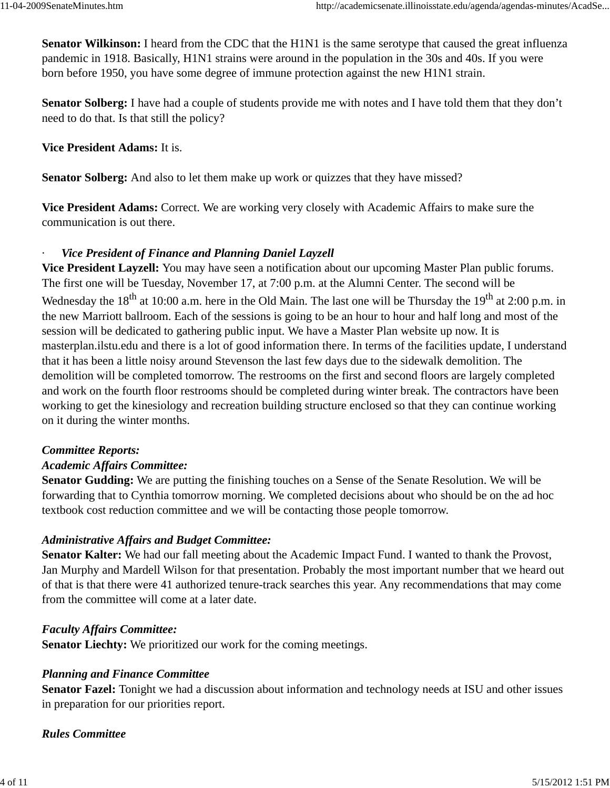**Senator Wilkinson:** I heard from the CDC that the H1N1 is the same serotype that caused the great influenza pandemic in 1918. Basically, H1N1 strains were around in the population in the 30s and 40s. If you were born before 1950, you have some degree of immune protection against the new H1N1 strain.

**Senator Solberg:** I have had a couple of students provide me with notes and I have told them that they don't need to do that. Is that still the policy?

**Vice President Adams:** It is.

**Senator Solberg:** And also to let them make up work or quizzes that they have missed?

**Vice President Adams:** Correct. We are working very closely with Academic Affairs to make sure the communication is out there.

## **Vice President of Finance and Planning Daniel Layzell**

**Vice President Layzell:** You may have seen a notification about our upcoming Master Plan public forums. The first one will be Tuesday, November 17, at 7:00 p.m. at the Alumni Center. The second will be Wednesday the  $18^{th}$  at 10:00 a.m. here in the Old Main. The last one will be Thursday the  $19^{th}$  at 2:00 p.m. in the new Marriott ballroom. Each of the sessions is going to be an hour to hour and half long and most of the session will be dedicated to gathering public input. We have a Master Plan website up now. It is masterplan.ilstu.edu and there is a lot of good information there. In terms of the facilities update, I understand that it has been a little noisy around Stevenson the last few days due to the sidewalk demolition. The demolition will be completed tomorrow. The restrooms on the first and second floors are largely completed and work on the fourth floor restrooms should be completed during winter break. The contractors have been working to get the kinesiology and recreation building structure enclosed so that they can continue working on it during the winter months.

#### *Committee Reports:*

# *Academic Affairs Committee:*

**Senator Gudding:** We are putting the finishing touches on a Sense of the Senate Resolution. We will be forwarding that to Cynthia tomorrow morning. We completed decisions about who should be on the ad hoc textbook cost reduction committee and we will be contacting those people tomorrow.

# *Administrative Affairs and Budget Committee:*

**Senator Kalter:** We had our fall meeting about the Academic Impact Fund. I wanted to thank the Provost, Jan Murphy and Mardell Wilson for that presentation. Probably the most important number that we heard out of that is that there were 41 authorized tenure-track searches this year. Any recommendations that may come from the committee will come at a later date.

#### *Faculty Affairs Committee:*

**Senator Liechty:** We prioritized our work for the coming meetings.

# *Planning and Finance Committee*

**Senator Fazel:** Tonight we had a discussion about information and technology needs at ISU and other issues in preparation for our priorities report.

*Rules Committee*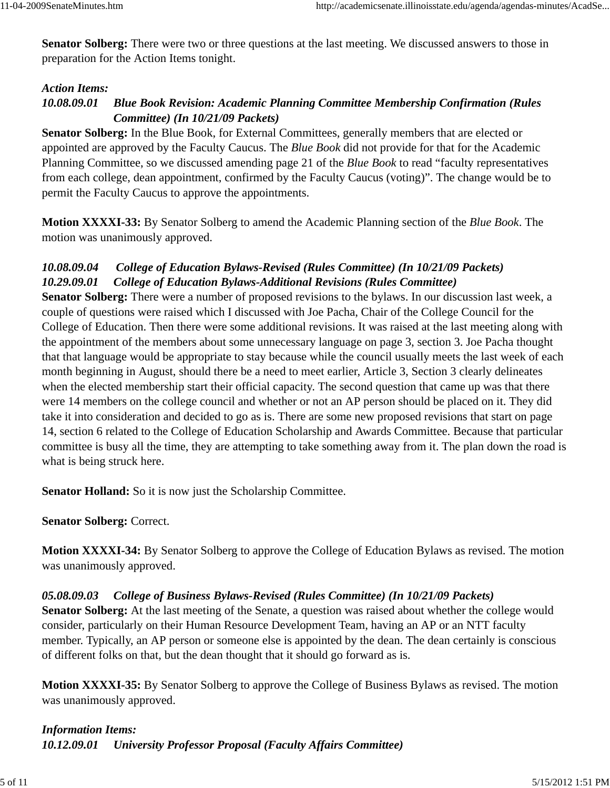**Senator Solberg:** There were two or three questions at the last meeting. We discussed answers to those in preparation for the Action Items tonight.

#### *Action Items:*

# *10.08.09.01 Blue Book Revision: Academic Planning Committee Membership Confirmation (Rules Committee) (In 10/21/09 Packets)*

**Senator Solberg:** In the Blue Book, for External Committees, generally members that are elected or appointed are approved by the Faculty Caucus. The *Blue Book* did not provide for that for the Academic Planning Committee, so we discussed amending page 21 of the *Blue Book* to read "faculty representatives from each college, dean appointment, confirmed by the Faculty Caucus (voting)". The change would be to permit the Faculty Caucus to approve the appointments.

**Motion XXXXI-33:** By Senator Solberg to amend the Academic Planning section of the *Blue Book*. The motion was unanimously approved.

# *10.08.09.04 College of Education Bylaws-Revised (Rules Committee) (In 10/21/09 Packets) 10.29.09.01 College of Education Bylaws-Additional Revisions (Rules Committee)*

**Senator Solberg:** There were a number of proposed revisions to the bylaws. In our discussion last week, a couple of questions were raised which I discussed with Joe Pacha, Chair of the College Council for the College of Education. Then there were some additional revisions. It was raised at the last meeting along with the appointment of the members about some unnecessary language on page 3, section 3. Joe Pacha thought that that language would be appropriate to stay because while the council usually meets the last week of each month beginning in August, should there be a need to meet earlier, Article 3, Section 3 clearly delineates when the elected membership start their official capacity. The second question that came up was that there were 14 members on the college council and whether or not an AP person should be placed on it. They did take it into consideration and decided to go as is. There are some new proposed revisions that start on page 14, section 6 related to the College of Education Scholarship and Awards Committee. Because that particular committee is busy all the time, they are attempting to take something away from it. The plan down the road is what is being struck here.

**Senator Holland:** So it is now just the Scholarship Committee.

**Senator Solberg:** Correct.

**Motion XXXXI-34:** By Senator Solberg to approve the College of Education Bylaws as revised. The motion was unanimously approved.

#### *05.08.09.03 College of Business Bylaws-Revised (Rules Committee) (In 10/21/09 Packets)*

**Senator Solberg:** At the last meeting of the Senate, a question was raised about whether the college would consider, particularly on their Human Resource Development Team, having an AP or an NTT faculty member. Typically, an AP person or someone else is appointed by the dean. The dean certainly is conscious of different folks on that, but the dean thought that it should go forward as is.

**Motion XXXXI-35:** By Senator Solberg to approve the College of Business Bylaws as revised. The motion was unanimously approved.

*Information Items: 10.12.09.01 University Professor Proposal (Faculty Affairs Committee)*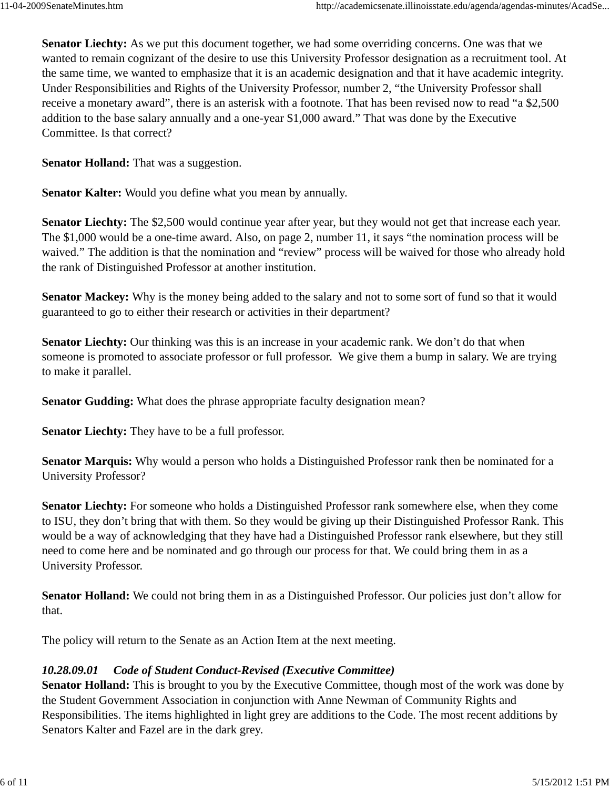**Senator Liechty:** As we put this document together, we had some overriding concerns. One was that we wanted to remain cognizant of the desire to use this University Professor designation as a recruitment tool. At the same time, we wanted to emphasize that it is an academic designation and that it have academic integrity. Under Responsibilities and Rights of the University Professor, number 2, "the University Professor shall receive a monetary award", there is an asterisk with a footnote. That has been revised now to read "a \$2,500 addition to the base salary annually and a one-year \$1,000 award." That was done by the Executive Committee. Is that correct?

**Senator Holland:** That was a suggestion.

**Senator Kalter:** Would you define what you mean by annually.

**Senator Liechty:** The \$2,500 would continue year after year, but they would not get that increase each year. The \$1,000 would be a one-time award. Also, on page 2, number 11, it says "the nomination process will be waived." The addition is that the nomination and "review" process will be waived for those who already hold the rank of Distinguished Professor at another institution.

**Senator Mackey:** Why is the money being added to the salary and not to some sort of fund so that it would guaranteed to go to either their research or activities in their department?

**Senator Liechty:** Our thinking was this is an increase in your academic rank. We don't do that when someone is promoted to associate professor or full professor. We give them a bump in salary. We are trying to make it parallel.

**Senator Gudding:** What does the phrase appropriate faculty designation mean?

**Senator Liechty:** They have to be a full professor.

**Senator Marquis:** Why would a person who holds a Distinguished Professor rank then be nominated for a University Professor?

**Senator Liechty:** For someone who holds a Distinguished Professor rank somewhere else, when they come to ISU, they don't bring that with them. So they would be giving up their Distinguished Professor Rank. This would be a way of acknowledging that they have had a Distinguished Professor rank elsewhere, but they still need to come here and be nominated and go through our process for that. We could bring them in as a University Professor.

**Senator Holland:** We could not bring them in as a Distinguished Professor. Our policies just don't allow for that.

The policy will return to the Senate as an Action Item at the next meeting.

#### *10.28.09.01 Code of Student Conduct-Revised (Executive Committee)*

**Senator Holland:** This is brought to you by the Executive Committee, though most of the work was done by the Student Government Association in conjunction with Anne Newman of Community Rights and Responsibilities. The items highlighted in light grey are additions to the Code. The most recent additions by Senators Kalter and Fazel are in the dark grey.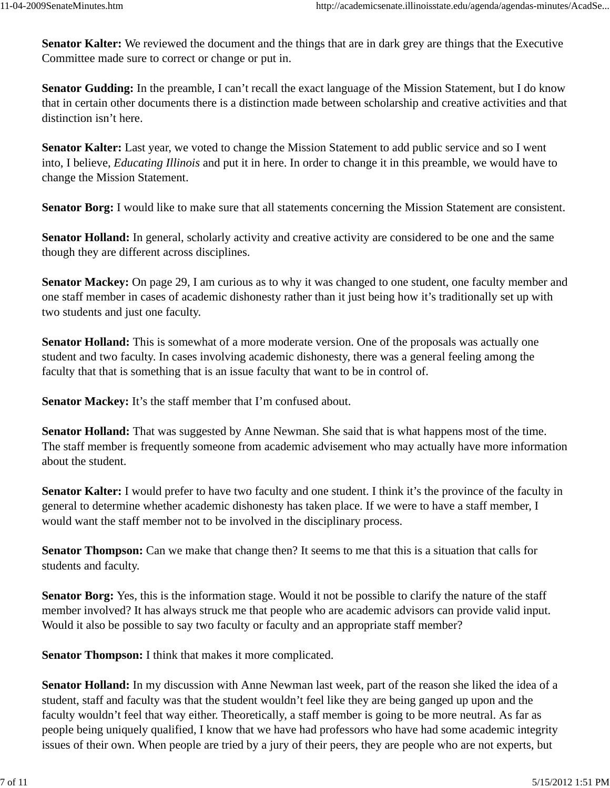**Senator Kalter:** We reviewed the document and the things that are in dark grey are things that the Executive Committee made sure to correct or change or put in.

**Senator Gudding:** In the preamble, I can't recall the exact language of the Mission Statement, but I do know that in certain other documents there is a distinction made between scholarship and creative activities and that distinction isn't here.

**Senator Kalter:** Last year, we voted to change the Mission Statement to add public service and so I went into, I believe, *Educating Illinois* and put it in here. In order to change it in this preamble, we would have to change the Mission Statement.

**Senator Borg:** I would like to make sure that all statements concerning the Mission Statement are consistent.

**Senator Holland:** In general, scholarly activity and creative activity are considered to be one and the same though they are different across disciplines.

**Senator Mackey:** On page 29, I am curious as to why it was changed to one student, one faculty member and one staff member in cases of academic dishonesty rather than it just being how it's traditionally set up with two students and just one faculty.

**Senator Holland:** This is somewhat of a more moderate version. One of the proposals was actually one student and two faculty. In cases involving academic dishonesty, there was a general feeling among the faculty that that is something that is an issue faculty that want to be in control of.

**Senator Mackey:** It's the staff member that I'm confused about.

**Senator Holland:** That was suggested by Anne Newman. She said that is what happens most of the time. The staff member is frequently someone from academic advisement who may actually have more information about the student.

**Senator Kalter:** I would prefer to have two faculty and one student. I think it's the province of the faculty in general to determine whether academic dishonesty has taken place. If we were to have a staff member, I would want the staff member not to be involved in the disciplinary process.

**Senator Thompson:** Can we make that change then? It seems to me that this is a situation that calls for students and faculty.

**Senator Borg:** Yes, this is the information stage. Would it not be possible to clarify the nature of the staff member involved? It has always struck me that people who are academic advisors can provide valid input. Would it also be possible to say two faculty or faculty and an appropriate staff member?

**Senator Thompson:** I think that makes it more complicated.

**Senator Holland:** In my discussion with Anne Newman last week, part of the reason she liked the idea of a student, staff and faculty was that the student wouldn't feel like they are being ganged up upon and the faculty wouldn't feel that way either. Theoretically, a staff member is going to be more neutral. As far as people being uniquely qualified, I know that we have had professors who have had some academic integrity issues of their own. When people are tried by a jury of their peers, they are people who are not experts, but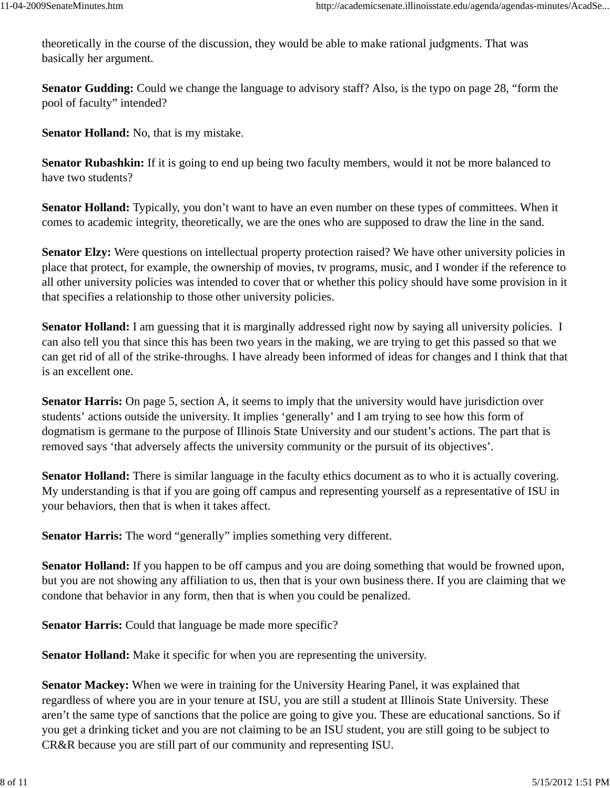theoretically in the course of the discussion, they would be able to make rational judgments. That was basically her argument.

**Senator Gudding:** Could we change the language to advisory staff? Also, is the typo on page 28, "form the pool of faculty" intended?

**Senator Holland:** No, that is my mistake.

**Senator Rubashkin:** If it is going to end up being two faculty members, would it not be more balanced to have two students?

**Senator Holland:** Typically, you don't want to have an even number on these types of committees. When it comes to academic integrity, theoretically, we are the ones who are supposed to draw the line in the sand.

**Senator Elzy:** Were questions on intellectual property protection raised? We have other university policies in place that protect, for example, the ownership of movies, tv programs, music, and I wonder if the reference to all other university policies was intended to cover that or whether this policy should have some provision in it that specifies a relationship to those other university policies.

**Senator Holland:** I am guessing that it is marginally addressed right now by saying all university policies. I can also tell you that since this has been two years in the making, we are trying to get this passed so that we can get rid of all of the strike-throughs. I have already been informed of ideas for changes and I think that that is an excellent one.

**Senator Harris:** On page 5, section A, it seems to imply that the university would have jurisdiction over students' actions outside the university. It implies 'generally' and I am trying to see how this form of dogmatism is germane to the purpose of Illinois State University and our student's actions. The part that is removed says 'that adversely affects the university community or the pursuit of its objectives'.

**Senator Holland:** There is similar language in the faculty ethics document as to who it is actually covering. My understanding is that if you are going off campus and representing yourself as a representative of ISU in your behaviors, then that is when it takes affect.

**Senator Harris:** The word "generally" implies something very different.

**Senator Holland:** If you happen to be off campus and you are doing something that would be frowned upon, but you are not showing any affiliation to us, then that is your own business there. If you are claiming that we condone that behavior in any form, then that is when you could be penalized.

**Senator Harris:** Could that language be made more specific?

**Senator Holland:** Make it specific for when you are representing the university.

**Senator Mackey:** When we were in training for the University Hearing Panel, it was explained that regardless of where you are in your tenure at ISU, you are still a student at Illinois State University. These aren't the same type of sanctions that the police are going to give you. These are educational sanctions. So if you get a drinking ticket and you are not claiming to be an ISU student, you are still going to be subject to CR&R because you are still part of our community and representing ISU.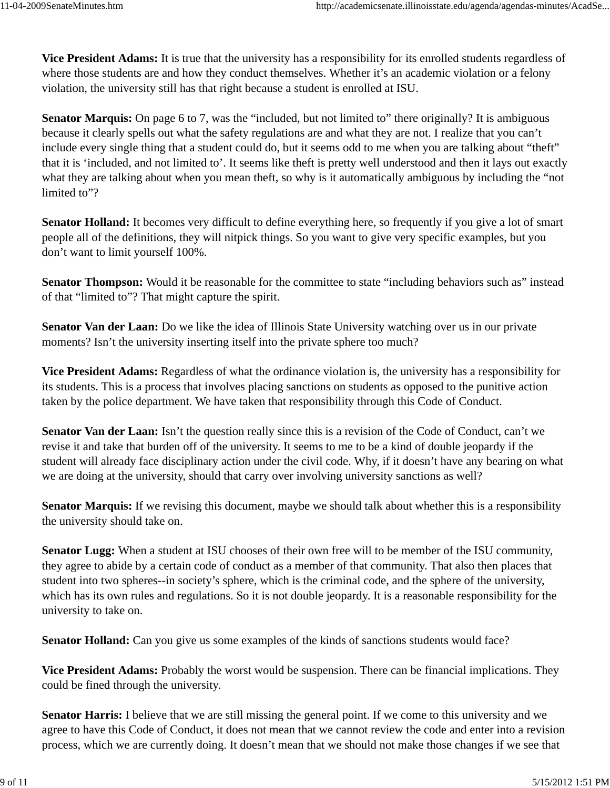**Vice President Adams:** It is true that the university has a responsibility for its enrolled students regardless of where those students are and how they conduct themselves. Whether it's an academic violation or a felony violation, the university still has that right because a student is enrolled at ISU.

**Senator Marquis:** On page 6 to 7, was the "included, but not limited to" there originally? It is ambiguous because it clearly spells out what the safety regulations are and what they are not. I realize that you can't include every single thing that a student could do, but it seems odd to me when you are talking about "theft" that it is 'included, and not limited to'. It seems like theft is pretty well understood and then it lays out exactly what they are talking about when you mean theft, so why is it automatically ambiguous by including the "not limited to"?

**Senator Holland:** It becomes very difficult to define everything here, so frequently if you give a lot of smart people all of the definitions, they will nitpick things. So you want to give very specific examples, but you don't want to limit yourself 100%.

**Senator Thompson:** Would it be reasonable for the committee to state "including behaviors such as" instead of that "limited to"? That might capture the spirit.

**Senator Van der Laan:** Do we like the idea of Illinois State University watching over us in our private moments? Isn't the university inserting itself into the private sphere too much?

**Vice President Adams:** Regardless of what the ordinance violation is, the university has a responsibility for its students. This is a process that involves placing sanctions on students as opposed to the punitive action taken by the police department. We have taken that responsibility through this Code of Conduct.

**Senator Van der Laan:** Isn't the question really since this is a revision of the Code of Conduct, can't we revise it and take that burden off of the university. It seems to me to be a kind of double jeopardy if the student will already face disciplinary action under the civil code. Why, if it doesn't have any bearing on what we are doing at the university, should that carry over involving university sanctions as well?

**Senator Marquis:** If we revising this document, maybe we should talk about whether this is a responsibility the university should take on.

**Senator Lugg:** When a student at ISU chooses of their own free will to be member of the ISU community, they agree to abide by a certain code of conduct as a member of that community. That also then places that student into two spheres--in society's sphere, which is the criminal code, and the sphere of the university, which has its own rules and regulations. So it is not double jeopardy. It is a reasonable responsibility for the university to take on.

**Senator Holland:** Can you give us some examples of the kinds of sanctions students would face?

**Vice President Adams:** Probably the worst would be suspension. There can be financial implications. They could be fined through the university.

**Senator Harris:** I believe that we are still missing the general point. If we come to this university and we agree to have this Code of Conduct, it does not mean that we cannot review the code and enter into a revision process, which we are currently doing. It doesn't mean that we should not make those changes if we see that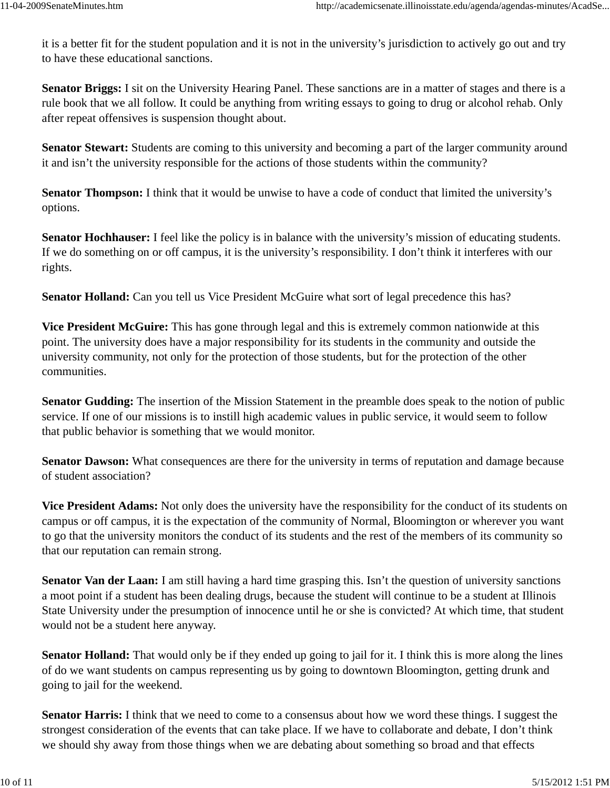it is a better fit for the student population and it is not in the university's jurisdiction to actively go out and try to have these educational sanctions.

**Senator Briggs:** I sit on the University Hearing Panel. These sanctions are in a matter of stages and there is a rule book that we all follow. It could be anything from writing essays to going to drug or alcohol rehab. Only after repeat offensives is suspension thought about.

**Senator Stewart:** Students are coming to this university and becoming a part of the larger community around it and isn't the university responsible for the actions of those students within the community?

**Senator Thompson:** I think that it would be unwise to have a code of conduct that limited the university's options.

**Senator Hochhauser:** I feel like the policy is in balance with the university's mission of educating students. If we do something on or off campus, it is the university's responsibility. I don't think it interferes with our rights.

**Senator Holland:** Can you tell us Vice President McGuire what sort of legal precedence this has?

**Vice President McGuire:** This has gone through legal and this is extremely common nationwide at this point. The university does have a major responsibility for its students in the community and outside the university community, not only for the protection of those students, but for the protection of the other communities.

**Senator Gudding:** The insertion of the Mission Statement in the preamble does speak to the notion of public service. If one of our missions is to instill high academic values in public service, it would seem to follow that public behavior is something that we would monitor.

**Senator Dawson:** What consequences are there for the university in terms of reputation and damage because of student association?

**Vice President Adams:** Not only does the university have the responsibility for the conduct of its students on campus or off campus, it is the expectation of the community of Normal, Bloomington or wherever you want to go that the university monitors the conduct of its students and the rest of the members of its community so that our reputation can remain strong.

**Senator Van der Laan:** I am still having a hard time grasping this. Isn't the question of university sanctions a moot point if a student has been dealing drugs, because the student will continue to be a student at Illinois State University under the presumption of innocence until he or she is convicted? At which time, that student would not be a student here anyway.

**Senator Holland:** That would only be if they ended up going to jail for it. I think this is more along the lines of do we want students on campus representing us by going to downtown Bloomington, getting drunk and going to jail for the weekend.

**Senator Harris:** I think that we need to come to a consensus about how we word these things. I suggest the strongest consideration of the events that can take place. If we have to collaborate and debate, I don't think we should shy away from those things when we are debating about something so broad and that effects